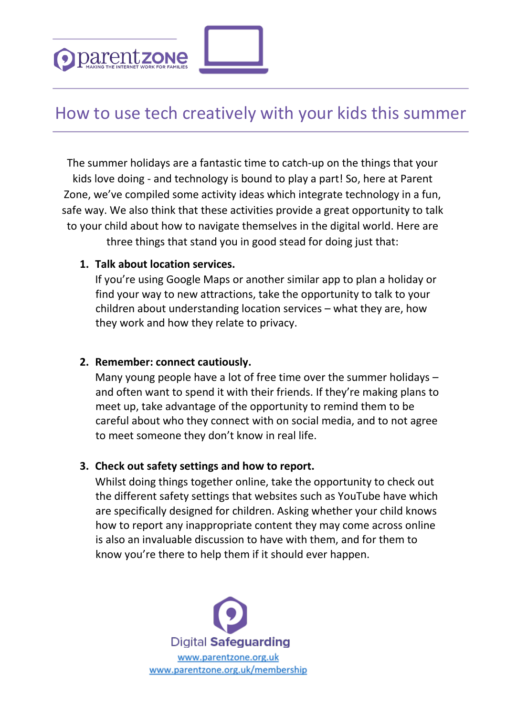

# How to use tech creatively with your kids this summer

The summer holidays are a fantastic time to catch-up on the things that your kids love doing - and technology is bound to play a part! So, here at Parent Zone, we've compiled some activity ideas which integrate technology in a fun, safe way. We also think that these activities provide a great opportunity to talk to your child about how to navigate themselves in the digital world. Here are three things that stand you in good stead for doing just that:

## **1. Talk about location services.**

If you're using Google Maps or another similar app to plan a holiday or find your way to new attractions, take the opportunity to talk to your children about understanding location services – what they are, how they work and how they relate to privacy.

#### **2. Remember: connect cautiously.**

Many young people have a lot of free time over the summer holidays – and often want to spend it with their friends. If they're making plans to meet up, take advantage of the opportunity to remind them to be careful about who they connect with on social media, and to not agree to meet someone they don't know in real life.

## **3. Check out safety settings and how to report.**

Whilst doing things together online, take the opportunity to check out the different safety settings that websites such as YouTube have which are specifically designed for children. Asking whether your child knows how to report any inappropriate content they may come across online is also an invaluable discussion to have with them, and for them to know you're there to help them if it should ever happen.